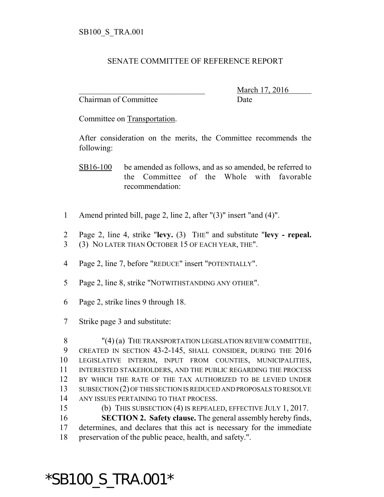## SENATE COMMITTEE OF REFERENCE REPORT

Chairman of Committee Date

\_\_\_\_\_\_\_\_\_\_\_\_\_\_\_\_\_\_\_\_\_\_\_\_\_\_\_\_\_\_\_ March 17, 2016

Committee on Transportation.

After consideration on the merits, the Committee recommends the following:

SB16-100 be amended as follows, and as so amended, be referred to the Committee of the Whole with favorable recommendation:

- 1 Amend printed bill, page 2, line 2, after "(3)" insert "and (4)".
- 2 Page 2, line 4, strike "**levy.** (3) THE" and substitute "**levy repeal.** 3 (3) NO LATER THAN OCTOBER 15 OF EACH YEAR, THE".
- 4 Page 2, line 7, before "REDUCE" insert "POTENTIALLY".
- 5 Page 2, line 8, strike "NOTWITHSTANDING ANY OTHER".
- 6 Page 2, strike lines 9 through 18.
- 7 Strike page 3 and substitute:

8 "(4) (a) THE TRANSPORTATION LEGISLATION REVIEW COMMITTEE, CREATED IN SECTION 43-2-145, SHALL CONSIDER, DURING THE 2016 LEGISLATIVE INTERIM, INPUT FROM COUNTIES, MUNICIPALITIES, INTERESTED STAKEHOLDERS, AND THE PUBLIC REGARDING THE PROCESS BY WHICH THE RATE OF THE TAX AUTHORIZED TO BE LEVIED UNDER SUBSECTION (2) OF THIS SECTION IS REDUCED AND PROPOSALS TO RESOLVE ANY ISSUES PERTAINING TO THAT PROCESS.

15 (b) THIS SUBSECTION (4) IS REPEALED, EFFECTIVE JULY 1, 2017. 16 **SECTION 2. Safety clause.** The general assembly hereby finds,

17 determines, and declares that this act is necessary for the immediate 18 preservation of the public peace, health, and safety.".

## \*SB100\_S\_TRA.001\*